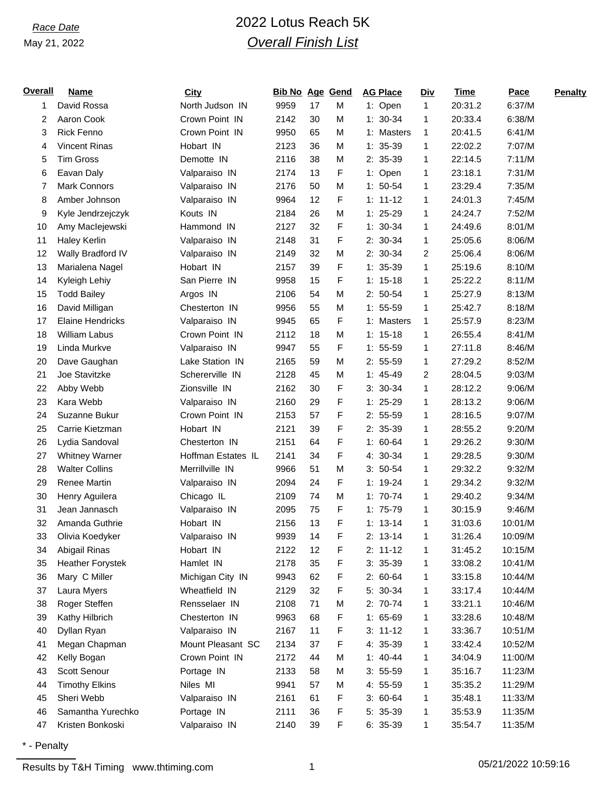### May 21, 2022

## *Race Date* 2022 Lotus Reach 5K *Overall Finish List*

| <u>Overall</u> | <b>Name</b>                     | <b>City</b>        | <b>Bib No Age Gend</b> |    |   | <b>AG Place</b> | <b>Div</b>   | <u>Time</u> | Pace    | <b>Penalty</b> |
|----------------|---------------------------------|--------------------|------------------------|----|---|-----------------|--------------|-------------|---------|----------------|
| 1              | David Rossa                     | North Judson IN    | 9959                   | 17 | M | 1: Open         | $\mathbf{1}$ | 20:31.2     | 6:37/M  |                |
| 2              | Aaron Cook                      | Crown Point IN     | 2142                   | 30 | M | $1: 30-34$      | 1            | 20:33.4     | 6:38/M  |                |
| 3              | <b>Rick Fenno</b>               | Crown Point IN     | 9950                   | 65 | M | 1: Masters      | 1            | 20:41.5     | 6:41/M  |                |
| 4              | <b>Vincent Rinas</b>            | Hobart IN          | 2123                   | 36 | M | $1: 35-39$      | $\mathbf{1}$ | 22:02.2     | 7:07/M  |                |
| 5              | <b>Tim Gross</b>                | Demotte IN         | 2116                   | 38 | M | 2: 35-39        | $\mathbf{1}$ | 22:14.5     | 7:11/M  |                |
| 6              | Eavan Daly                      | Valparaiso IN      | 2174                   | 13 | F | 1: Open         | 1            | 23:18.1     | 7:31/M  |                |
| 7              | <b>Mark Connors</b>             | Valparaiso IN      | 2176                   | 50 | M | $1: 50-54$      | 1            | 23:29.4     | 7:35/M  |                |
| 8              | Amber Johnson                   | Valparaiso IN      | 9964                   | 12 | F | $1: 11 - 12$    | $\mathbf{1}$ | 24:01.3     | 7:45/M  |                |
| 9              | Kyle Jendrzejczyk               | Kouts IN           | 2184                   | 26 | M | $1: 25-29$      | $\mathbf{1}$ | 24:24.7     | 7:52/M  |                |
| 10             | Amy Maclejewski                 | Hammond IN         | 2127                   | 32 | F | $1: 30-34$      | $\mathbf{1}$ | 24:49.6     | 8:01/M  |                |
| 11             | <b>Haley Kerlin</b>             | Valparaiso IN      | 2148                   | 31 | F | $2: 30-34$      | $\mathbf{1}$ | 25:05.6     | 8:06/M  |                |
| 12             | Wally Bradford IV               | Valparaiso IN      | 2149                   | 32 | M | $2: 30-34$      | 2            | 25:06.4     | 8:06/M  |                |
| 13             | Marialena Nagel                 | Hobart IN          | 2157                   | 39 | F | $1: 35-39$      | $\mathbf{1}$ | 25:19.6     | 8:10/M  |                |
| 14             | Kyleigh Lehiy                   | San Pierre IN      | 9958                   | 15 | F | $1: 15-18$      | 1            | 25:22.2     | 8:11/M  |                |
| 15             | <b>Todd Bailey</b>              | Argos IN           | 2106                   | 54 | M | $2: 50-54$      | 1            | 25:27.9     | 8:13/M  |                |
| 16             | David Milligan                  | Chesterton IN      | 9956                   | 55 | M | $1: 55-59$      | $\mathbf{1}$ | 25:42.7     | 8:18/M  |                |
| 17             | <b>Elaine Hendricks</b>         | Valparaiso IN      | 9945                   | 65 | F | 1: Masters      | $\mathbf{1}$ | 25:57.9     | 8:23/M  |                |
| 18             | <b>William Labus</b>            | Crown Point IN     | 2112                   | 18 | M | $1: 15-18$      | 1            | 26:55.4     | 8:41/M  |                |
| 19             | Linda Murkve                    | Valparaiso IN      | 9947                   | 55 | F | $1: 55-59$      | 1            | 27:11.8     | 8:46/M  |                |
| 20             | Dave Gaughan                    | Lake Station IN    | 2165                   | 59 | M | $2: 55-59$      | $\mathbf{1}$ | 27:29.2     | 8:52/M  |                |
| 21             | Joe Stavitzke                   | Schererville IN    | 2128                   | 45 | M | $1: 45-49$      | 2            | 28:04.5     | 9:03/M  |                |
| 22             | Abby Webb                       | Zionsville IN      | 2162                   | 30 | F | $3: 30-34$      | 1            | 28:12.2     | 9:06/M  |                |
| 23             | Kara Webb                       | Valparaiso IN      | 2160                   | 29 | F | $1: 25-29$      | 1            | 28:13.2     | 9:06/M  |                |
| 24             | Suzanne Bukur                   | Crown Point IN     | 2153                   | 57 | F | $2: 55-59$      | $\mathbf{1}$ | 28:16.5     | 9:07/M  |                |
| 25             | Carrie Kietzman                 | Hobart IN          | 2121                   | 39 | F | 2: 35-39        | $\mathbf{1}$ | 28:55.2     | 9:20/M  |                |
| 26             | Lydia Sandoval                  | Chesterton IN      | 2151                   | 64 | F | $1: 60-64$      | 1            | 29:26.2     | 9:30/M  |                |
| 27             | <b>Whitney Warner</b>           | Hoffman Estates IL | 2141                   | 34 | F | 4: 30-34        | 1            | 29:28.5     | 9:30/M  |                |
| 28             | <b>Walter Collins</b>           | Merrillville IN    | 9966                   | 51 | M | $3: 50-54$      | $\mathbf{1}$ | 29:32.2     | 9:32/M  |                |
| 29             | <b>Renee Martin</b>             | Valparaiso IN      | 2094                   | 24 | F | $1: 19-24$      | $\mathbf{1}$ | 29:34.2     | 9:32/M  |                |
| 30             | Henry Aguilera                  | Chicago IL         | 2109                   | 74 | M | $1: 70-74$      | $\mathbf{1}$ | 29:40.2     | 9:34/M  |                |
| 31             | Jean Jannasch                   | Valparaiso IN      | 2095                   | 75 | F | 1: 75-79        | 1            | 30:15.9     | 9:46/M  |                |
| 32             | Amanda Guthrie                  | Hobart IN          | 2156                   | 13 | F | $1: 13-14$      | 1            | 31:03.6     | 10:01/M |                |
| 33             | Olivia Koedyker                 | Valparaiso IN      | 9939                   | 14 | F | $2: 13-14$      | 1            | 31:26.4     | 10:09/M |                |
| 34             | Abigail Rinas                   | Hobart IN          | 2122                   | 12 | F | $2: 11-12$      | 1            | 31:45.2     | 10:15/M |                |
| 35             | <b>Heather Forystek</b>         | Hamlet IN          | 2178                   | 35 | F | $3: 35-39$      | 1            | 33:08.2     | 10:41/M |                |
| 36             | Mary C Miller                   | Michigan City IN   | 9943                   | 62 | F | $2: 60-64$      | 1            | 33:15.8     | 10:44/M |                |
| 37             | Laura Myers                     | Wheatfield IN      | 2129                   | 32 | F | 5: 30-34        | 1            | 33:17.4     | 10:44/M |                |
| 38             | Roger Steffen                   | Rensselaer IN      | 2108                   | 71 | M | 2: 70-74        | 1            | 33:21.1     | 10:46/M |                |
| 39             | Kathy Hilbrich                  | Chesterton IN      | 9963                   | 68 | F | $1: 65-69$      | 1            | 33:28.6     | 10:48/M |                |
| 40             | Dyllan Ryan                     | Valparaiso IN      | 2167                   | 11 | F | $3: 11-12$      | 1            | 33:36.7     | 10:51/M |                |
| 41             | Megan Chapman                   | Mount Pleasant SC  | 2134                   | 37 | F | 4: 35-39        | 1            | 33:42.4     | 10:52/M |                |
| 42             | Kelly Bogan                     | Crown Point IN     | 2172                   | 44 | M | $1: 40-44$      | 1            | 34:04.9     | 11:00/M |                |
| 43             | Scott Senour                    | Portage IN         | 2133                   | 58 | M | $3: 55-59$      | 1            | 35:16.7     | 11:23/M |                |
| 44             | <b>Timothy Elkins</b>           | Niles MI           | 9941                   | 57 | M | 4: 55-59        | 1            | 35:35.2     | 11:29/M |                |
| 45             | Sheri Webb<br>Samantha Yurechko | Valparaiso IN      | 2161                   | 61 | F | $3:60-64$       | 1            | 35:48.1     | 11:33/M |                |
| 46             |                                 | Portage IN         | 2111                   | 36 | F | 5: 35-39        | 1            | 35:53.9     | 11:35/M |                |
| 47             | Kristen Bonkoski                | Valparaiso IN      | 2140                   | 39 | F | $6: 35-39$      | 1            | 35:54.7     | 11:35/M |                |

\* - Penalty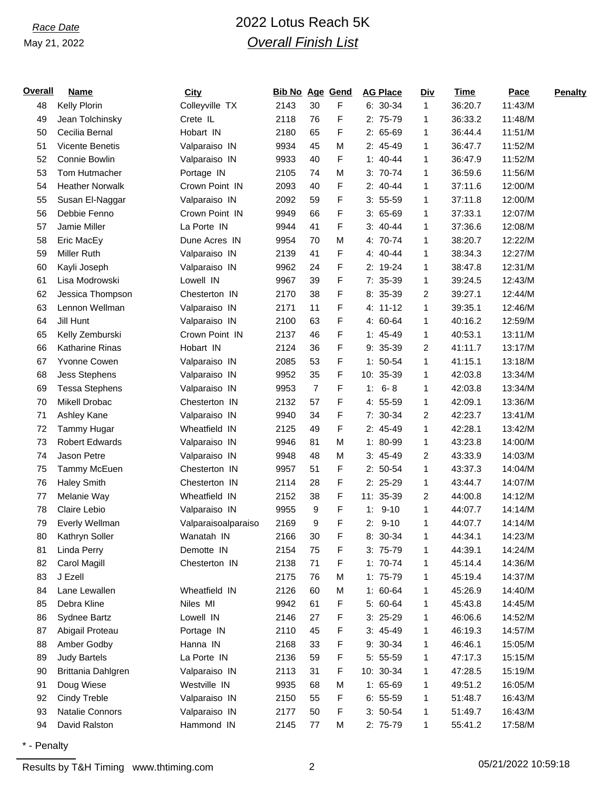### May 21, 2022

## *Race Date* 2022 Lotus Reach 5K *Overall Finish List*

| <u>Overall</u> | <b>Name</b>            | <b>City</b>         | <b>Bib No Age Gend</b> |                |   | <b>AG Place</b> | <b>Div</b>   | <u>Time</u> | Pace    | <b>Penalty</b> |
|----------------|------------------------|---------------------|------------------------|----------------|---|-----------------|--------------|-------------|---------|----------------|
| 48             | Kelly Plorin           | Colleyville TX      | 2143                   | 30             | F | $6: 30-34$      | $\mathbf{1}$ | 36:20.7     | 11:43/M |                |
| 49             | Jean Tolchinsky        | Crete IL            | 2118                   | 76             | F | $2: 75-79$      | 1            | 36:33.2     | 11:48/M |                |
| 50             | Cecilia Bernal         | Hobart IN           | 2180                   | 65             | F | $2: 65-69$      | 1            | 36:44.4     | 11:51/M |                |
| 51             | Vicente Benetis        | Valparaiso IN       | 9934                   | 45             | М | 2: 45-49        | 1            | 36:47.7     | 11:52/M |                |
| 52             | Connie Bowlin          | Valparaiso IN       | 9933                   | 40             | F | $1: 40 - 44$    | 1            | 36:47.9     | 11:52/M |                |
| 53             | Tom Hutmacher          | Portage IN          | 2105                   | 74             | М | $3: 70-74$      | 1            | 36:59.6     | 11:56/M |                |
| 54             | <b>Heather Norwalk</b> | Crown Point IN      | 2093                   | 40             | F | $2: 40-44$      | 1            | 37:11.6     | 12:00/M |                |
| 55             | Susan El-Naggar        | Valparaiso IN       | 2092                   | 59             | F | $3: 55-59$      | 1            | 37:11.8     | 12:00/M |                |
| 56             | Debbie Fenno           | Crown Point IN      | 9949                   | 66             | F | $3:65-69$       | 1            | 37:33.1     | 12:07/M |                |
| 57             | Jamie Miller           | La Porte IN         | 9944                   | 41             | F | $3: 40-44$      | 1            | 37:36.6     | 12:08/M |                |
| 58             | Eric MacEy             | Dune Acres IN       | 9954                   | 70             | Μ | 4: 70-74        | 1            | 38:20.7     | 12:22/M |                |
| 59             | <b>Miller Ruth</b>     | Valparaiso IN       | 2139                   | 41             | F | 4: 40-44        | 1            | 38:34.3     | 12:27/M |                |
| 60             | Kayli Joseph           | Valparaiso IN       | 9962                   | 24             | F | $2: 19-24$      | 1            | 38:47.8     | 12:31/M |                |
| 61             | Lisa Modrowski         | Lowell IN           | 9967                   | 39             | F | 7: 35-39        | 1            | 39:24.5     | 12:43/M |                |
| 62             | Jessica Thompson       | Chesterton IN       | 2170                   | 38             | F | $8:35-39$       | 2            | 39:27.1     | 12:44/M |                |
| 63             | Lennon Wellman         | Valparaiso IN       | 2171                   | 11             | F | $4: 11-12$      | 1            | 39:35.1     | 12:46/M |                |
| 64             | Jill Hunt              | Valparaiso IN       | 2100                   | 63             | F | 4: 60-64        | 1            | 40:16.2     | 12:59/M |                |
| 65             | Kelly Zemburski        | Crown Point IN      | 2137                   | 46             | F | $1: 45-49$      | 1            | 40:53.1     | 13:11/M |                |
| 66             | Katharine Rinas        | Hobart IN           | 2124                   | 36             | F | $9: 35-39$      | 2            | 41:11.7     | 13:17/M |                |
| 67             | Yvonne Cowen           | Valparaiso IN       | 2085                   | 53             | F | $1: 50-54$      | 1            | 41:15.1     | 13:18/M |                |
| 68             | <b>Jess Stephens</b>   | Valparaiso IN       | 9952                   | 35             | F | 10: 35-39       | 1            | 42:03.8     | 13:34/M |                |
| 69             | <b>Tessa Stephens</b>  | Valparaiso IN       | 9953                   | $\overline{7}$ | F | $1: 6 - 8$      | 1            | 42:03.8     | 13:34/M |                |
| 70             | <b>Mikell Drobac</b>   | Chesterton IN       | 2132                   | 57             | F | 4: 55-59        | 1            | 42:09.1     | 13:36/M |                |
| 71             | Ashley Kane            | Valparaiso IN       | 9940                   | 34             | F | 7: 30-34        | 2            | 42:23.7     | 13:41/M |                |
| 72             | Tammy Hugar            | Wheatfield IN       | 2125                   | 49             | F | $2: 45-49$      | 1            | 42:28.1     | 13:42/M |                |
| 73             | <b>Robert Edwards</b>  | Valparaiso IN       | 9946                   | 81             | М | $1:80-99$       | 1            | 43:23.8     | 14:00/M |                |
| 74             | Jason Petre            | Valparaiso IN       | 9948                   | 48             | Μ | $3: 45-49$      | 2            | 43:33.9     | 14:03/M |                |
| 75             | Tammy McEuen           | Chesterton IN       | 9957                   | 51             | F | $2: 50-54$      | 1            | 43:37.3     | 14:04/M |                |
| 76             | <b>Haley Smith</b>     | Chesterton IN       | 2114                   | 28             | F | 2: 25-29        | 1            | 43:44.7     | 14:07/M |                |
| 77             | Melanie Way            | Wheatfield IN       | 2152                   | 38             | F | 11: 35-39       | 2            | 44:00.8     | 14:12/M |                |
| 78             | Claire Lebio           | Valparaiso IN       | 9955                   | 9              | F | $1: 9-10$       | 1            | 44:07.7     | 14:14/M |                |
| 79             | <b>Everly Wellman</b>  | Valparaisoalparaiso | 2169                   | 9              | F | $2: 9-10$       | 1            | 44:07.7     | 14:14/M |                |
| 80             | Kathryn Soller         | Wanatah IN          | 2166                   | $30\,$         | F | 8: 30-34        | 1            | 44:34.1     | 14:23/M |                |
| 81             | Linda Perry            | Demotte IN          | 2154                   | 75             | F | 3: 75-79        | 1            | 44:39.1     | 14:24/M |                |
| 82             | Carol Magill           | Chesterton IN       | 2138                   | 71             | F | $1: 70-74$      | 1            | 45:14.4     | 14:36/M |                |
| 83             | J Ezell                |                     | 2175                   | 76             | M | $1: 75-79$      | 1            | 45:19.4     | 14:37/M |                |
| 84             | Lane Lewallen          | Wheatfield IN       | 2126                   | 60             | М | $1: 60-64$      | 1            | 45:26.9     | 14:40/M |                |
| 85             | Debra Kline            | Niles MI            | 9942                   | 61             | F | 5: 60-64        | 1            | 45:43.8     | 14:45/M |                |
| 86             | Sydnee Bartz           | Lowell IN           | 2146                   | 27             | F | $3: 25-29$      | 1            | 46:06.6     | 14:52/M |                |
| 87             | Abigail Proteau        | Portage IN          | 2110                   | 45             | F | $3: 45-49$      | 1            | 46:19.3     | 14:57/M |                |
| 88             | Amber Godby            | Hanna IN            | 2168                   | 33             | F | 9: 30-34        | 1            | 46:46.1     | 15:05/M |                |
| 89             | <b>Judy Bartels</b>    | La Porte IN         | 2136                   | 59             | F | 5: 55-59        | 1            | 47:17.3     | 15:15/M |                |
| 90             | Brittania Dahlgren     | Valparaiso IN       | 2113                   | 31             | F | 10: 30-34       | 1            | 47:28.5     | 15:19/M |                |
| 91             | Doug Wiese             | Westville IN        | 9935                   | 68             | Μ | $1: 65-69$      | 1            | 49:51.2     | 16:05/M |                |
| 92             | Cindy Treble           | Valparaiso IN       | 2150                   | 55             | F | $6: 55-59$      | 1            | 51:48.7     | 16:43/M |                |
| 93             | Natalie Connors        | Valparaiso IN       | 2177                   | 50             | F | $3: 50-54$      | 1            | 51:49.7     | 16:43/M |                |
| 94             | David Ralston          | Hammond IN          | 2145                   | 77             | М | 2: 75-79        | 1            | 55:41.2     | 17:58/M |                |

\* - Penalty